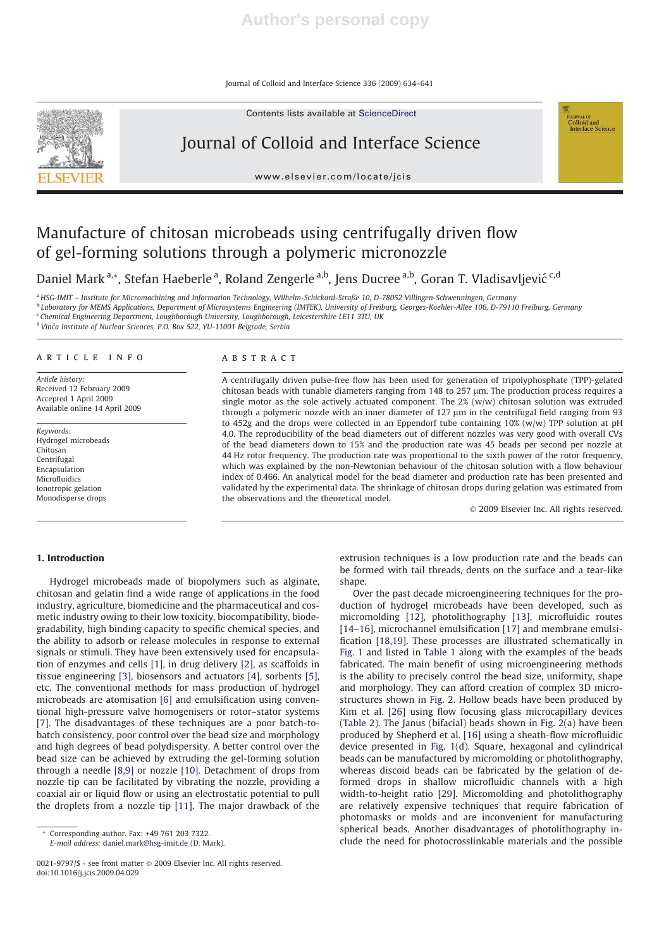Journal of Colloid and Interface Science 336 (2009) 634–641



Contents lists available at ScienceDirect

# Journal of Colloid and Interface Science

www.elsevier.com/locate/jcis

# Manufacture of chitosan microbeads using centrifugally driven flow of gel-forming solutions through a polymeric micronozzle

Daniel Mark <sup>a,</sup>\*, Stefan Haeberle <sup>a</sup>, Roland Zengerle <sup>a,b</sup>, Jens Ducree <sup>a,b</sup>, Goran T. Vladisavljević <sup>c,d</sup>

<sup>a</sup> HSG-IMIT – Institute for Micromachining and Information Technology, Wilhelm-Schickard-Straße 10, D-78052 Villingen-Schwenningen, Germany

<sup>b</sup> Laboratory for MEMS Applications, Department of Microsystems Engineering (IMTEK), University of Freiburg, Georges-Koehler-Allee 106, D-79110 Freiburg, Germany

<sup>c</sup> Chemical Engineering Department, Loughborough University, Loughborough, Leicestershire LE11 3TU, UK

<sup>d</sup> Vinča Institute of Nuclear Sciences, P.O. Box 522, YU-11001 Belgrade, Serbia

# article info

Article history: Received 12 February 2009 Accepted 1 April 2009 Available online 14 April 2009

Keywords: Hydrogel microbeads Chitosan Centrifugal Encapsulation Microfluidics Ionotropic gelation Monodisperse drops

# **ABSTRACT**

A centrifugally driven pulse-free flow has been used for generation of tripolyphosphate (TPP)-gelated chitosan beads with tunable diameters ranging from 148 to 257 µm. The production process requires a single motor as the sole actively actuated component. The  $2\%$  (w/w) chitosan solution was extruded through a polymeric nozzle with an inner diameter of  $127 \mu m$  in the centrifugal field ranging from 93 to 452g and the drops were collected in an Eppendorf tube containing 10% (w/w) TPP solution at pH 4.0. The reproducibility of the bead diameters out of different nozzles was very good with overall CVs of the bead diameters down to 15% and the production rate was 45 beads per second per nozzle at 44 Hz rotor frequency. The production rate was proportional to the sixth power of the rotor frequency, which was explained by the non-Newtonian behaviour of the chitosan solution with a flow behaviour index of 0.466. An analytical model for the bead diameter and production rate has been presented and validated by the experimental data. The shrinkage of chitosan drops during gelation was estimated from the observations and the theoretical model.

- 2009 Elsevier Inc. All rights reserved.

**COURNAL OF**<br>Colloid and<br>Interface Science

# 1. Introduction

Hydrogel microbeads made of biopolymers such as alginate, chitosan and gelatin find a wide range of applications in the food industry, agriculture, biomedicine and the pharmaceutical and cosmetic industry owing to their low toxicity, biocompatibility, biodegradability, high binding capacity to specific chemical species, and the ability to adsorb or release molecules in response to external signals or stimuli. They have been extensively used for encapsulation of enzymes and cells [1], in drug delivery [2], as scaffolds in tissue engineering [3], biosensors and actuators [4], sorbents [5], etc. The conventional methods for mass production of hydrogel microbeads are atomisation [6] and emulsification using conventional high-pressure valve homogenisers or rotor–stator systems [7]. The disadvantages of these techniques are a poor batch-tobatch consistency, poor control over the bead size and morphology and high degrees of bead polydispersity. A better control over the bead size can be achieved by extruding the gel-forming solution through a needle [8,9] or nozzle [10]. Detachment of drops from nozzle tip can be facilitated by vibrating the nozzle, providing a coaxial air or liquid flow or using an electrostatic potential to pull the droplets from a nozzle tip [11]. The major drawback of the

E-mail address: daniel.mark@hsg-imit.de (D. Mark).

extrusion techniques is a low production rate and the beads can be formed with tail threads, dents on the surface and a tear-like shape.

Over the past decade microengineering techniques for the production of hydrogel microbeads have been developed, such as micromolding [12], photolithography [13], microfluidic routes [14–16], microchannel emulsification [17] and membrane emulsification [18,19]. These processes are illustrated schematically in Fig. 1 and listed in Table 1 along with the examples of the beads fabricated. The main benefit of using microengineering methods is the ability to precisely control the bead size, uniformity, shape and morphology. They can afford creation of complex 3D microstructures shown in Fig. 2. Hollow beads have been produced by Kim et al. [26] using flow focusing glass microcapillary devices (Table 2). The Janus (bifacial) beads shown in Fig. 2(a) have been produced by Shepherd et al. [16] using a sheath-flow microfluidic device presented in Fig. 1(d). Square, hexagonal and cylindrical beads can be manufactured by micromolding or photolithography, whereas discoid beads can be fabricated by the gelation of deformed drops in shallow microfluidic channels with a high width-to-height ratio [29]. Micromolding and photolithography are relatively expensive techniques that require fabrication of photomasks or molds and are inconvenient for manufacturing spherical beads. Another disadvantages of photolithography include the need for photocrosslinkable materials and the possible

Corresponding author. Fax: +49 761 203 7322.

<sup>0021-9797/\$ -</sup> see front matter © 2009 Elsevier Inc. All rights reserved. doi:10.1016/j.jcis.2009.04.029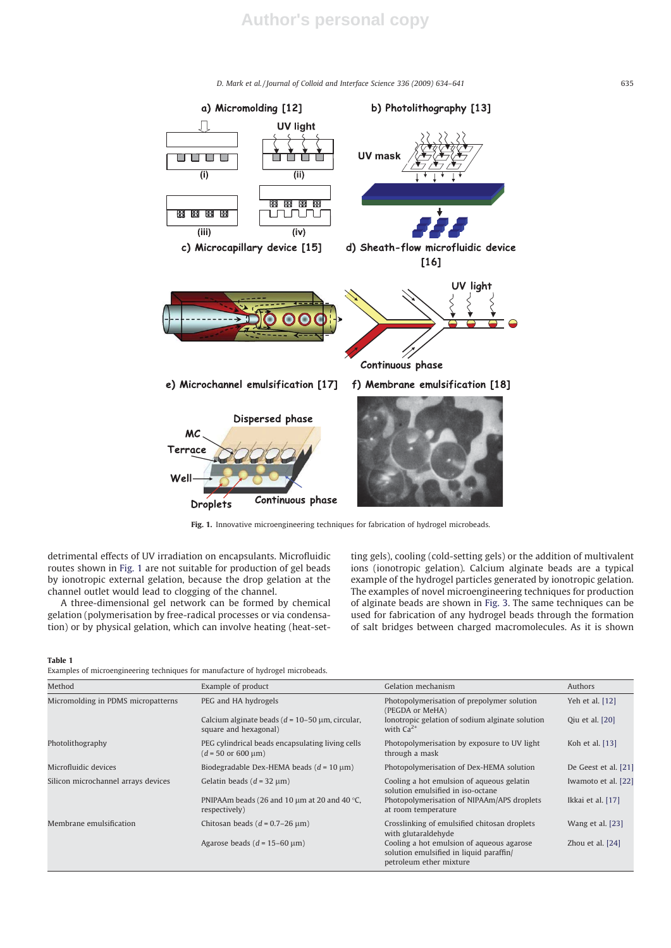

Fig. 1. Innovative microengineering techniques for fabrication of hydrogel microbeads.

detrimental effects of UV irradiation on encapsulants. Microfluidic routes shown in Fig. 1 are not suitable for production of gel beads by ionotropic external gelation, because the drop gelation at the channel outlet would lead to clogging of the channel.

A three-dimensional gel network can be formed by chemical gelation (polymerisation by free-radical processes or via condensation) or by physical gelation, which can involve heating (heat-setting gels), cooling (cold-setting gels) or the addition of multivalent ions (ionotropic gelation). Calcium alginate beads are a typical example of the hydrogel particles generated by ionotropic gelation. The examples of novel microengineering techniques for production of alginate beads are shown in Fig. 3. The same techniques can be used for fabrication of any hydrogel beads through the formation of salt bridges between charged macromolecules. As it is shown

Table 1

| Examples of microengineering techniques for manufacture of hydrogel microbeads. |  |  |
|---------------------------------------------------------------------------------|--|--|
|---------------------------------------------------------------------------------|--|--|

| Method                              | Example of product                                                                                 | Gelation mechanism                                                                                              | Authors              |
|-------------------------------------|----------------------------------------------------------------------------------------------------|-----------------------------------------------------------------------------------------------------------------|----------------------|
| Micromolding in PDMS micropatterns  | PEG and HA hydrogels                                                                               | Photopolymerisation of prepolymer solution<br>(PEGDA or MeHA)                                                   | Yeh et al. [12]      |
|                                     | Calcium alginate beads ( $d = 10-50$ µm, circular,<br>square and hexagonal)                        | Ionotropic gelation of sodium alginate solution<br>with $Ca^{2+}$                                               | Qiu et al. [20]      |
| Photolithography                    | PEG cylindrical beads encapsulating living cells<br>$(d = 50 \text{ or } 600 \text{ }\mu\text{m})$ | Photopolymerisation by exposure to UV light<br>through a mask                                                   | Koh et al. [13]      |
| Microfluidic devices                | Biodegradable Dex-HEMA beads ( $d = 10 \mu m$ )                                                    | Photopolymerisation of Dex-HEMA solution                                                                        | De Geest et al. [21] |
| Silicon microchannel arrays devices | Gelatin beads $(d = 32 \mu m)$                                                                     | Cooling a hot emulsion of aqueous gelatin<br>solution emulsified in iso-octane                                  | Iwamoto et al. [22]  |
|                                     | PNIPAAm beads (26 and 10 $\mu$ m at 20 and 40 °C,<br>respectively)                                 | Photopolymerisation of NIPAAm/APS droplets<br>at room temperature                                               | Ikkai et al. [17]    |
| Membrane emulsification             | Chitosan beads $(d = 0.7-26 \mu m)$                                                                | Crosslinking of emulsified chitosan droplets<br>with glutaraldehyde                                             | Wang et al. [23]     |
|                                     | Agarose beads ( $d = 15-60 \text{ }\mu\text{m}$ )                                                  | Cooling a hot emulsion of aqueous agarose<br>solution emulsified in liquid paraffin/<br>petroleum ether mixture | Zhou et al. [24]     |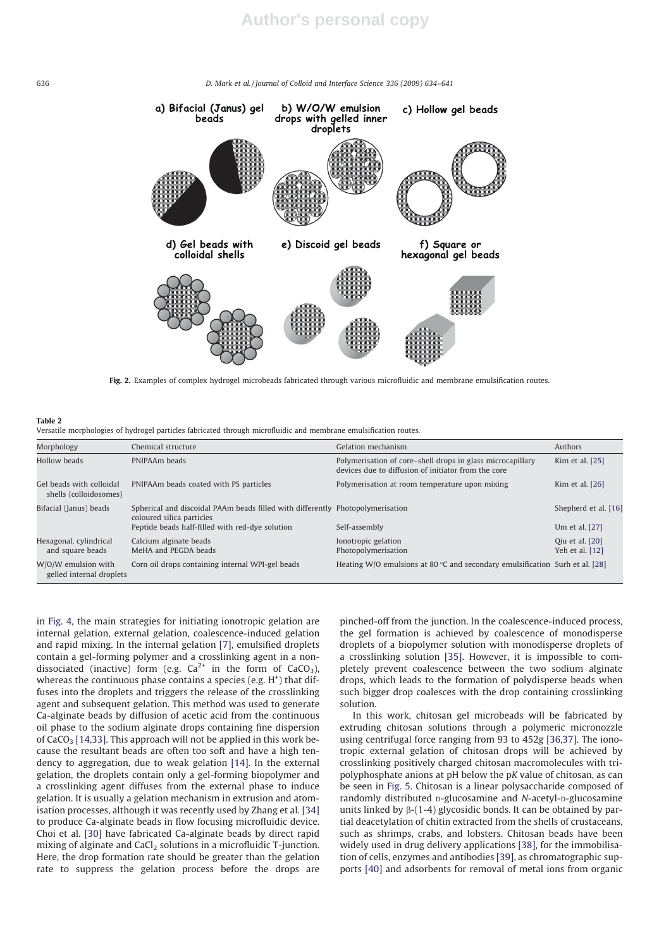

Fig. 2. Examples of complex hydrogel microbeads fabricated through various microfluidic and membrane emulsification routes.

#### Table 2

|  |  |  |  | Versatile morphologies of hydrogel particles fabricated through microfluidic and membrane emulsification routes. |  |
|--|--|--|--|------------------------------------------------------------------------------------------------------------------|--|
|  |  |  |  |                                                                                                                  |  |

| Morphology                                         | Chemical structure                                                                                          | Gelation mechanism                                                                                                | Authors                            |
|----------------------------------------------------|-------------------------------------------------------------------------------------------------------------|-------------------------------------------------------------------------------------------------------------------|------------------------------------|
| Hollow beads                                       | PNIPAAm beads                                                                                               | Polymerisation of core-shell drops in glass microcapillary<br>devices due to diffusion of initiator from the core | Kim et al. [25]                    |
| Gel beads with colloidal<br>shells (colloidosomes) | PNIPAAm beads coated with PS particles                                                                      | Polymerisation at room temperature upon mixing                                                                    | Kim et al. [26]                    |
| Bifacial (Janus) beads                             | Spherical and discoidal PAAm beads filled with differently Photopolymerisation<br>coloured silica particles |                                                                                                                   | Shepherd et al. [16]               |
|                                                    | Peptide beads half-filled with red-dye solution                                                             | Self-assembly                                                                                                     | Um et al. [27]                     |
| Hexagonal, cylindrical<br>and square beads         | Calcium alginate beads<br>MeHA and PEGDA beads                                                              | Ionotropic gelation<br>Photopolymerisation                                                                        | Qiu et al. [20]<br>Yeh et al. [12] |
| W/O/W emulsion with<br>gelled internal droplets    | Corn oil drops containing internal WPI-gel beads                                                            | Heating W/O emulsions at 80 $\degree$ C and secondary emulsification Surh et al. [28]                             |                                    |

in Fig. 4, the main strategies for initiating ionotropic gelation are internal gelation, external gelation, coalescence-induced gelation and rapid mixing. In the internal gelation [7], emulsified droplets contain a gel-forming polymer and a crosslinking agent in a nondissociated (inactive) form (e.g.  $Ca^{2+}$  in the form of  $CaCO<sub>3</sub>$ ), whereas the continuous phase contains a species (e.g.  $H^+$ ) that diffuses into the droplets and triggers the release of the crosslinking agent and subsequent gelation. This method was used to generate Ca-alginate beads by diffusion of acetic acid from the continuous oil phase to the sodium alginate drops containing fine dispersion of  $CaCO<sub>3</sub>$  [14,33]. This approach will not be applied in this work because the resultant beads are often too soft and have a high tendency to aggregation, due to weak gelation [14]. In the external gelation, the droplets contain only a gel-forming biopolymer and a crosslinking agent diffuses from the external phase to induce gelation. It is usually a gelation mechanism in extrusion and atomisation processes, although it was recently used by Zhang et al. [34] to produce Ca-alginate beads in flow focusing microfluidic device. Choi et al. [30] have fabricated Ca-alginate beads by direct rapid mixing of alginate and CaCl<sub>2</sub> solutions in a microfluidic T-junction. Here, the drop formation rate should be greater than the gelation rate to suppress the gelation process before the drops are

pinched-off from the junction. In the coalescence-induced process, the gel formation is achieved by coalescence of monodisperse droplets of a biopolymer solution with monodisperse droplets of a crosslinking solution [35]. However, it is impossible to completely prevent coalescence between the two sodium alginate drops, which leads to the formation of polydisperse beads when such bigger drop coalesces with the drop containing crosslinking solution.

In this work, chitosan gel microbeads will be fabricated by extruding chitosan solutions through a polymeric micronozzle using centrifugal force ranging from 93 to 452g [36,37]. The ionotropic external gelation of chitosan drops will be achieved by crosslinking positively charged chitosan macromolecules with tripolyphosphate anions at pH below the pK value of chitosan, as can be seen in Fig. 5. Chitosan is a linear polysaccharide composed of randomly distributed D-glucosamine and N-acetyl-D-glucosamine units linked by  $\beta$ -(1-4) glycosidic bonds. It can be obtained by partial deacetylation of chitin extracted from the shells of crustaceans, such as shrimps, crabs, and lobsters. Chitosan beads have been widely used in drug delivery applications [38], for the immobilisation of cells, enzymes and antibodies [39], as chromatographic supports [40] and adsorbents for removal of metal ions from organic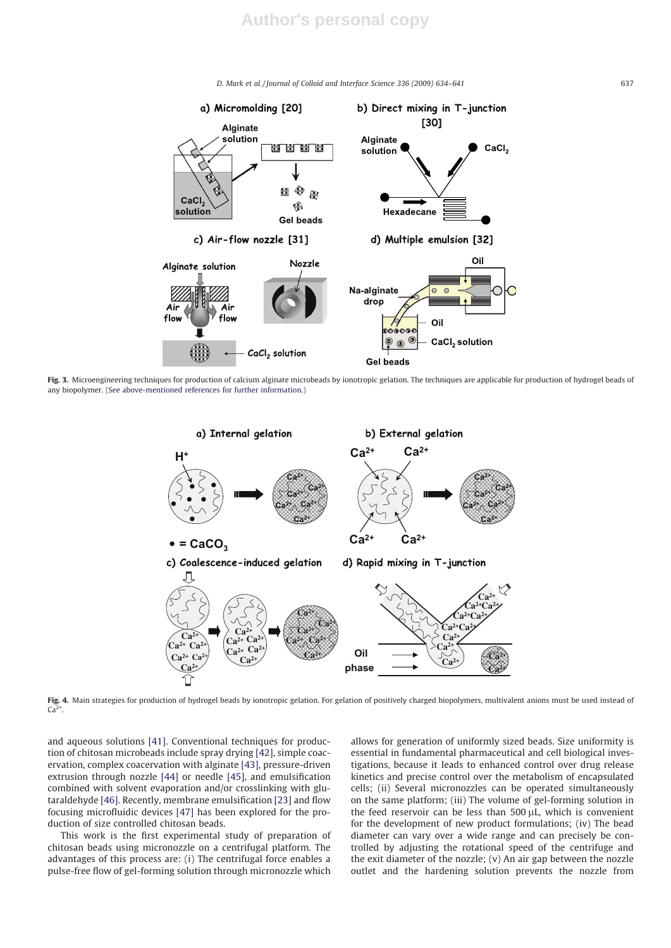

Fig. 3. Microengineering techniques for production of calcium alginate microbeads by ionotropic gelation. The techniques are applicable for production of hydrogel beads of any biopolymer. (See above-mentioned references for further information.)



Fig. 4. Main strategies for production of hydrogel beads by ionotropic gelation. For gelation of positively charged biopolymers, multivalent anions must be used instead of  $Ca<sup>2</sup>$ 

and aqueous solutions [41]. Conventional techniques for production of chitosan microbeads include spray drying [42], simple coacervation, complex coacervation with alginate [43], pressure-driven extrusion through nozzle [44] or needle [45], and emulsification combined with solvent evaporation and/or crosslinking with glutaraldehyde [46]. Recently, membrane emulsification [23] and flow focusing microfluidic devices [47] has been explored for the production of size controlled chitosan beads.

This work is the first experimental study of preparation of chitosan beads using micronozzle on a centrifugal platform. The advantages of this process are: (i) The centrifugal force enables a pulse-free flow of gel-forming solution through micronozzle which

allows for generation of uniformly sized beads. Size uniformity is essential in fundamental pharmaceutical and cell biological investigations, because it leads to enhanced control over drug release kinetics and precise control over the metabolism of encapsulated cells; (ii) Several micronozzles can be operated simultaneously on the same platform; (iii) The volume of gel-forming solution in the feed reservoir can be less than 500 µL, which is convenient for the development of new product formulations; (iv) The bead diameter can vary over a wide range and can precisely be controlled by adjusting the rotational speed of the centrifuge and the exit diameter of the nozzle; (v) An air gap between the nozzle outlet and the hardening solution prevents the nozzle from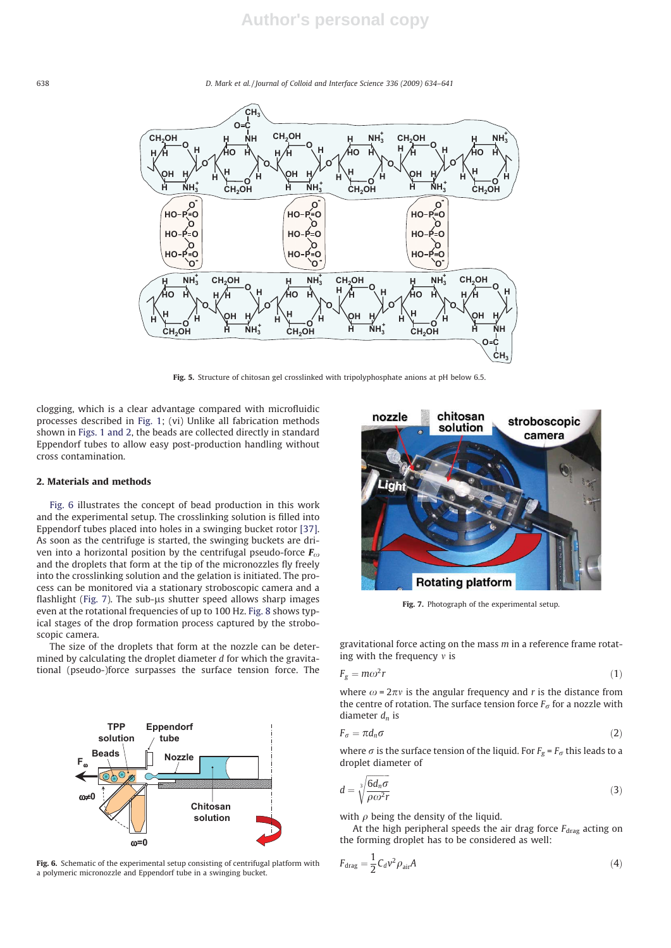

Fig. 5. Structure of chitosan gel crosslinked with tripolyphosphate anions at pH below 6.5.

clogging, which is a clear advantage compared with microfluidic processes described in Fig. 1; (vi) Unlike all fabrication methods shown in Figs. 1 and 2, the beads are collected directly in standard Eppendorf tubes to allow easy post-production handling without cross contamination.

### 2. Materials and methods

Fig. 6 illustrates the concept of bead production in this work and the experimental setup. The crosslinking solution is filled into Eppendorf tubes placed into holes in a swinging bucket rotor [37]. As soon as the centrifuge is started, the swinging buckets are driven into a horizontal position by the centrifugal pseudo-force  $\mathbf{F}_{\omega}$ and the droplets that form at the tip of the micronozzles fly freely into the crosslinking solution and the gelation is initiated. The process can be monitored via a stationary stroboscopic camera and a flashlight (Fig. 7). The sub- $\mu$ s shutter speed allows sharp images even at the rotational frequencies of up to 100 Hz. Fig. 8 shows typical stages of the drop formation process captured by the stroboscopic camera.

The size of the droplets that form at the nozzle can be determined by calculating the droplet diameter d for which the gravitational (pseudo-)force surpasses the surface tension force. The



Fig. 6. Schematic of the experimental setup consisting of centrifugal platform with a polymeric micronozzle and Eppendorf tube in a swinging bucket.



Fig. 7. Photograph of the experimental setup.

gravitational force acting on the mass  $m$  in a reference frame rotating with the frequency  $v$  is

$$
F_g = m\omega^2 r \tag{1}
$$

where  $\omega = 2\pi v$  is the angular frequency and r is the distance from the centre of rotation. The surface tension force  $F_{\sigma}$  for a nozzle with diameter  $d_n$  is

$$
F_{\sigma} = \pi d_n \sigma \tag{2}
$$

where  $\sigma$  is the surface tension of the liquid. For  $F_g$  =  $F_\sigma$  this leads to a droplet diameter of droplet diameter of

$$
d = \sqrt[3]{\frac{6d_n \sigma}{\rho \omega^2 r}}
$$
 (3)

with  $\rho$  being the density of the liquid.

At the high peripheral speeds the air drag force  $F_{drag}$  acting on the forming droplet has to be considered as well:

$$
F_{\text{drag}} = \frac{1}{2} C_d v^2 \rho_{\text{air}} A \tag{4}
$$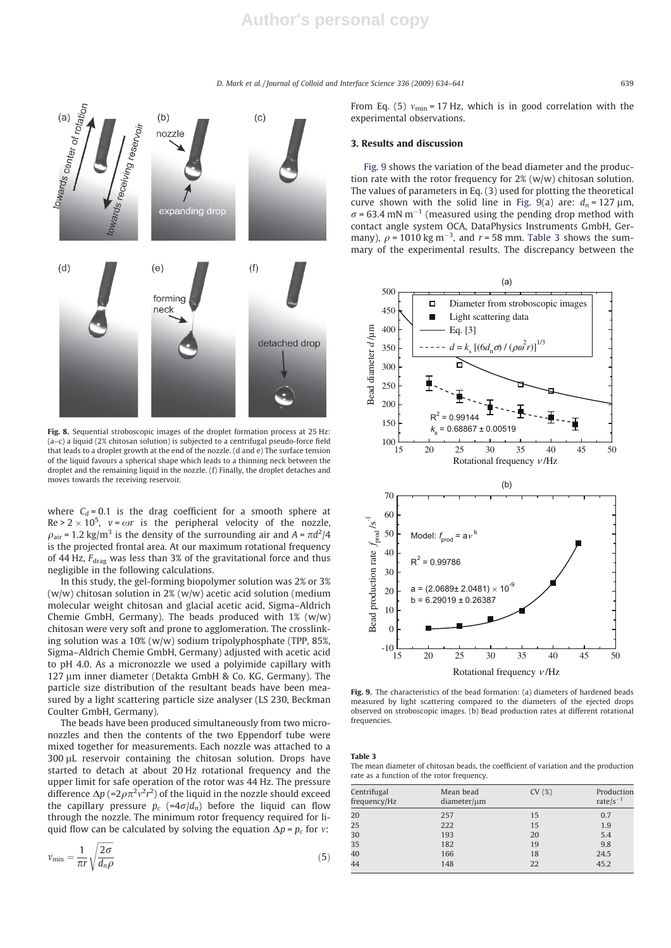

Fig. 8. Sequential stroboscopic images of the droplet formation process at 25 Hz: (a–c) a liquid (2% chitosan solution) is subjected to a centrifugal pseudo-force field that leads to a droplet growth at the end of the nozzle. (d and e) The surface tension of the liquid favours a spherical shape which leads to a thinning neck between the droplet and the remaining liquid in the nozzle. (f) Finally, the droplet detaches and moves towards the receiving reservoir.

where  $C_d = 0.1$  is the drag coefficient for a smooth sphere at  $Re > 2 \times 10^5$ ,  $v = \omega r$  is the peripheral velocity of the nozzle,<br> $Q_{\text{min}} = 1.2 \text{ kg/m}^3$  is the density of the surrounding air and  $A = \pi d^2/4$  $\rho_{\text{air}} = 1.2 \text{ kg/m}^3$  is the density of the surrounding air and  $A = \pi d^2/4$ <br>is the projected frontal area. At our maximum rotational frequency is the projected frontal area. At our maximum rotational frequency of 44 Hz,  $F_{drag}$  was less than 3% of the gravitational force and thus negligible in the following calculations.

In this study, the gel-forming biopolymer solution was 2% or 3%  $(w/w)$  chitosan solution in 2%  $(w/w)$  acetic acid solution (medium molecular weight chitosan and glacial acetic acid, Sigma–Aldrich Chemie GmbH, Germany). The beads produced with  $1\%$  (w/w) chitosan were very soft and prone to agglomeration. The crosslinking solution was a 10% (w/w) sodium tripolyphosphate (TPP, 85%, Sigma–Aldrich Chemie GmbH, Germany) adjusted with acetic acid to pH 4.0. As a micronozzle we used a polyimide capillary with 127 um inner diameter (Detakta GmbH & Co. KG, Germany). The particle size distribution of the resultant beads have been measured by a light scattering particle size analyser (LS 230, Beckman Coulter GmbH, Germany).

The beads have been produced simultaneously from two micronozzles and then the contents of the two Eppendorf tube were mixed together for measurements. Each nozzle was attached to a 300 µL reservoir containing the chitosan solution. Drops have started to detach at about 20 Hz rotational frequency and the upper limit for safe operation of the rotor was 44 Hz. The pressure difference  $\Delta p$  (=2 $\rho \pi^2 v^2 r^2$ ) of the liquid in the nozzle should exceed<br>the capillary pressure  $p_c$  (=4 $\sigma/d_c$ ) before the liquid can flow the capillary pressure  $p_c$  (=4 $\sigma/d_n$ ) before the liquid can flow through the nozzle. The minimum rotor frequency required for liquid flow can be calculated by solving the equation  $\Delta p = p_c$  for v:

$$
v_{\min} = \frac{1}{\pi r} \sqrt{\frac{2\sigma}{d_n \rho}}
$$
\n<sup>(5)</sup>

From Eq. (5)  $v_{\text{min}}$  = 17 Hz, which is in good correlation with the experimental observations.

# 3. Results and discussion

Fig. 9 shows the variation of the bead diameter and the production rate with the rotor frequency for 2% (w/w) chitosan solution. The values of parameters in Eq. (3) used for plotting the theoretical curve shown with the solid line in Fig. 9(a) are:  $d_n = 127 \text{ }\mu\text{m}$ ,  $\sigma$  = 63.4 mN m<sup>-1</sup> (measured using the pending drop method with contact angle system OCA, DataPhysics Instruments GmbH, Germany),  $\rho = 1010 \text{ kg m}^{-3}$ , and  $r = 58 \text{ mm}$ . Table 3 shows the sum-<br>mary of the experimental results. The discrepancy between the mary of the experimental results. The discrepancy between the



Fig. 9. The characteristics of the bead formation: (a) diameters of hardened beads measured by light scattering compared to the diameters of the ejected drops observed on stroboscopic images. (b) Bead production rates at different rotational frequencies.

Table 3

The mean diameter of chitosan beads, the coefficient of variation and the production rate as a function of the rotor frequency.

| Centrifugal<br>frequency/Hz | Mean bead<br>$diameter/\mu m$ | CV(%) | Production<br>rate/ $s^{-1}$ |
|-----------------------------|-------------------------------|-------|------------------------------|
| 20                          | 257                           | 15    | 0.7                          |
| 25                          | 222                           | 15    | 1.9                          |
| 30                          | 193                           | 20    | 5.4                          |
| 35                          | 182                           | 19    | 9.8                          |
| 40                          | 166                           | 18    | 24.5                         |
| 44                          | 148                           | 22    | 45.2                         |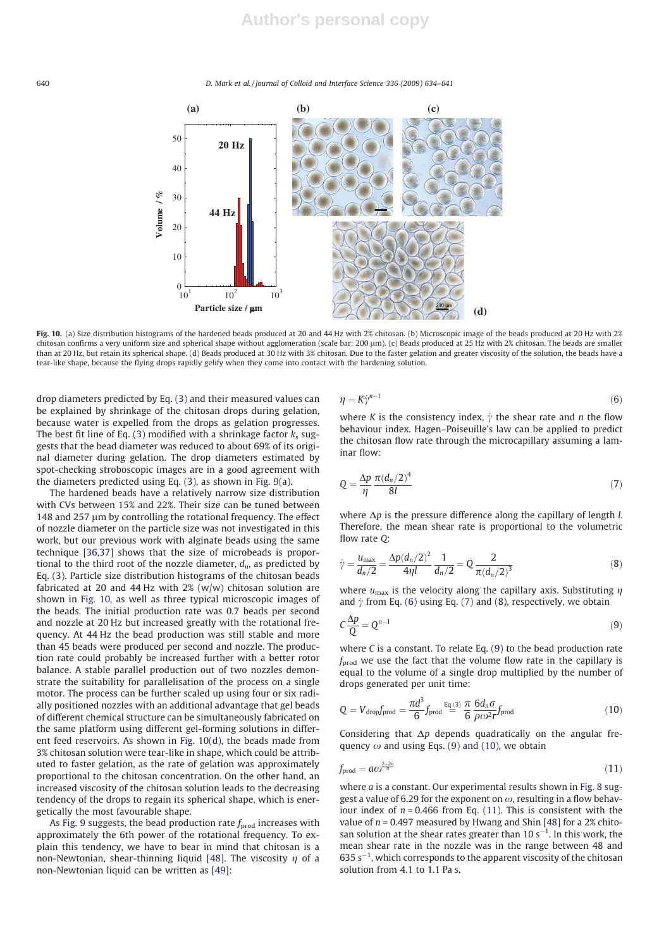

Fig. 10. (a) Size distribution histograms of the hardened beads produced at 20 and 44 Hz with 2% chitosan. (b) Microscopic image of the beads produced at 20 Hz with 2% chitosan confirms a very uniform size and spherical shape without agglomeration (scale bar: 200 µm). (c) Beads produced at 25 Hz with 2% chitosan. The beads are smaller than at 20 Hz, but retain its spherical shape. (d) Beads produced at 30 Hz with 3% chitosan. Due to the faster gelation and greater viscosity of the solution, the beads have a tear-like shape, because the flying drops rapidly gelify when they come into contact with the hardening solution.

drop diameters predicted by Eq. (3) and their measured values can be explained by shrinkage of the chitosan drops during gelation, because water is expelled from the drops as gelation progresses. The best fit line of Eq. (3) modified with a shrinkage factor  $k_s$  suggests that the bead diameter was reduced to about 69% of its original diameter during gelation. The drop diameters estimated by spot-checking stroboscopic images are in a good agreement with the diameters predicted using Eq. (3), as shown in Fig. 9(a).

The hardened beads have a relatively narrow size distribution with CVs between 15% and 22%. Their size can be tuned between 148 and  $257 \mu m$  by controlling the rotational frequency. The effect of nozzle diameter on the particle size was not investigated in this work, but our previous work with alginate beads using the same technique [36,37] shows that the size of microbeads is proportional to the third root of the nozzle diameter,  $d_n$ , as predicted by Eq. (3). Particle size distribution histograms of the chitosan beads fabricated at 20 and 44 Hz with 2% (w/w) chitosan solution are shown in Fig. 10, as well as three typical microscopic images of the beads. The initial production rate was 0.7 beads per second and nozzle at 20 Hz but increased greatly with the rotational frequency. At 44 Hz the bead production was still stable and more than 45 beads were produced per second and nozzle. The production rate could probably be increased further with a better rotor balance. A stable parallel production out of two nozzles demonstrate the suitability for parallelisation of the process on a single motor. The process can be further scaled up using four or six radially positioned nozzles with an additional advantage that gel beads of different chemical structure can be simultaneously fabricated on the same platform using different gel-forming solutions in different feed reservoirs. As shown in Fig. 10(d), the beads made from 3% chitosan solution were tear-like in shape, which could be attributed to faster gelation, as the rate of gelation was approximately proportional to the chitosan concentration. On the other hand, an increased viscosity of the chitosan solution leads to the decreasing tendency of the drops to regain its spherical shape, which is energetically the most favourable shape.

As Fig. 9 suggests, the bead production rate  $f_{\text{prod}}$  increases with approximately the 6th power of the rotational frequency. To explain this tendency, we have to bear in mind that chitosan is a non-Newtonian, shear-thinning liquid [48]. The viscosity  $\eta$  of a non-Newtonian liquid can be written as [49]:

$$
\eta = K \dot{\gamma}^{n-1} \tag{6}
$$

where K is the consistency index,  $\dot{\gamma}$  the shear rate and n the flow behaviour index. Hagen–Poiseuille's law can be applied to predict the chitosan flow rate through the microcapillary assuming a laminar flow:

$$
Q = \frac{\Delta p}{\eta} \frac{\pi (d_n/2)^4}{8l} \tag{7}
$$

where  $\Delta p$  is the pressure difference along the capillary of length *l*. Therefore, the mean shear rate is proportional to the volumetric flow rate Q:

$$
\dot{\gamma} = \frac{u_{\text{max}}}{d_n/2} = \frac{\Delta p (d_n/2)^2}{4\eta l} \frac{1}{d_n/2} = Q \frac{2}{\pi (d_n/2)^3}
$$
(8)

where  $u_{\text{max}}$  is the velocity along the capillary axis. Substituting  $\eta$  and  $\dot{\nu}$  from Eq. (6) using Eq. (7) and (8), respectively, we obtain and  $\dot{\gamma}$  from Eq. (6) using Eq. (7) and (8), respectively, we obtain

$$
C\frac{\Delta p}{Q} = Q^{n-1} \tag{9}
$$

where C is a constant. To relate Eq. (9) to the bead production rate  $f_{\text{prod}}$  we use the fact that the volume flow rate in the capillary is equal to the volume of a single drop multiplied by the number of drops generated per unit time:

$$
Q = V_{\text{drop}}f_{\text{prod}} = \frac{\pi d^3}{6} f_{\text{prod}} \stackrel{Eq(3)}{=} \frac{\pi}{6} \frac{6d_n \sigma}{\rho \omega^2 r} f_{\text{prod}}
$$
(10)

Considering that  $\Delta p$  depends quadratically on the angular frequency  $\omega$  and using Eqs. (9) and (10), we obtain

$$
f_{\text{prod}} = a\omega^{\frac{2+2n}{n}} \tag{11}
$$

where *a* is a constant. Our experimental results shown in Fig. 8 suggest a value of 6.29 for the exponent on  $\omega$ , resulting in a flow behaviour index of  $n = 0.466$  from Eq. (11). This is consistent with the value of  $n = 0.497$  measured by Hwang and Shin [48] for a 2% chitosan solution at the shear rates greater than  $10 s^{-1}$ . In this work, the mean shear rate in the nozzle was in the range between 48 and  $635 s<sup>-1</sup>$ , which corresponds to the apparent viscosity of the chitosan solution from 4.1 to 1.1 Pa s.